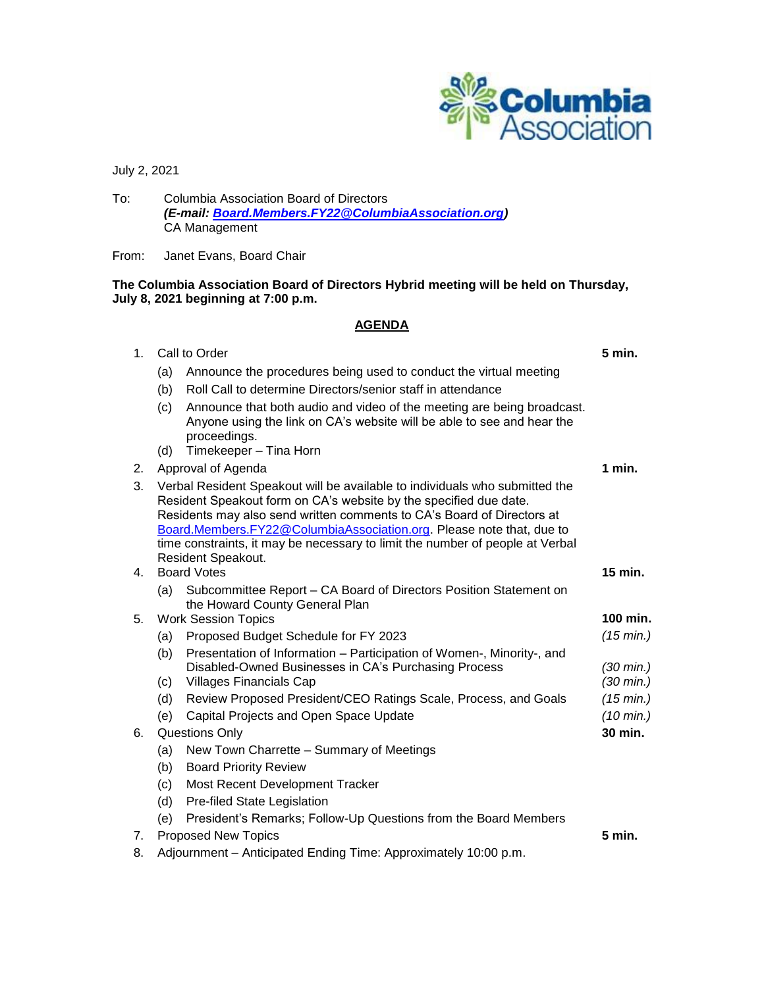

July 2, 2021

To: Columbia Association Board of Directors *(E-mail: [Board.Members.FY22@ColumbiaAssociation.org\)](mailto:Board.Members.FY22@ColumbiaAssociation.org)* CA Management

From: Janet Evans, Board Chair

# **The Columbia Association Board of Directors Hybrid meeting will be held on Thursday, July 8, 2021 beginning at 7:00 p.m.**

### **AGENDA**

| 1 <sub>1</sub> | Call to Order                                                   |                                                                                                                                                                                                                                                                                                                                                                                                           | 5 min.                                     |
|----------------|-----------------------------------------------------------------|-----------------------------------------------------------------------------------------------------------------------------------------------------------------------------------------------------------------------------------------------------------------------------------------------------------------------------------------------------------------------------------------------------------|--------------------------------------------|
|                | (a)                                                             | Announce the procedures being used to conduct the virtual meeting                                                                                                                                                                                                                                                                                                                                         |                                            |
|                | (b)                                                             | Roll Call to determine Directors/senior staff in attendance                                                                                                                                                                                                                                                                                                                                               |                                            |
|                | (c)                                                             | Announce that both audio and video of the meeting are being broadcast.<br>Anyone using the link on CA's website will be able to see and hear the<br>proceedings.                                                                                                                                                                                                                                          |                                            |
|                | (d)                                                             | Timekeeper - Tina Horn                                                                                                                                                                                                                                                                                                                                                                                    |                                            |
| 2.             | Approval of Agenda                                              |                                                                                                                                                                                                                                                                                                                                                                                                           | 1 min.                                     |
| 3.             |                                                                 | Verbal Resident Speakout will be available to individuals who submitted the<br>Resident Speakout form on CA's website by the specified due date.<br>Residents may also send written comments to CA's Board of Directors at<br>Board.Members.FY22@ColumbiaAssociation.org. Please note that, due to<br>time constraints, it may be necessary to limit the number of people at Verbal<br>Resident Speakout. |                                            |
| 4.             | <b>Board Votes</b>                                              |                                                                                                                                                                                                                                                                                                                                                                                                           | $15$ min.                                  |
|                | (a)                                                             | Subcommittee Report - CA Board of Directors Position Statement on<br>the Howard County General Plan                                                                                                                                                                                                                                                                                                       |                                            |
| 5.             | <b>Work Session Topics</b>                                      |                                                                                                                                                                                                                                                                                                                                                                                                           | 100 min.                                   |
|                | (a)                                                             | Proposed Budget Schedule for FY 2023                                                                                                                                                                                                                                                                                                                                                                      | (15 min.)                                  |
|                | (b)<br>(c)                                                      | Presentation of Information – Participation of Women-, Minority-, and<br>Disabled-Owned Businesses in CA's Purchasing Process<br><b>Villages Financials Cap</b>                                                                                                                                                                                                                                           | $(30 \text{ min.})$<br>$(30 \text{ min.})$ |
|                | (d)                                                             | Review Proposed President/CEO Ratings Scale, Process, and Goals                                                                                                                                                                                                                                                                                                                                           | (15 min.)                                  |
|                | (e)                                                             | Capital Projects and Open Space Update                                                                                                                                                                                                                                                                                                                                                                    | $(10 \text{ min.})$                        |
| 6.             | Questions Only                                                  |                                                                                                                                                                                                                                                                                                                                                                                                           | 30 min.                                    |
|                | (a)                                                             | New Town Charrette - Summary of Meetings                                                                                                                                                                                                                                                                                                                                                                  |                                            |
|                | (b)                                                             | <b>Board Priority Review</b>                                                                                                                                                                                                                                                                                                                                                                              |                                            |
|                | (c)                                                             | Most Recent Development Tracker                                                                                                                                                                                                                                                                                                                                                                           |                                            |
|                | (d)                                                             | Pre-filed State Legislation                                                                                                                                                                                                                                                                                                                                                                               |                                            |
|                | (e)                                                             | President's Remarks; Follow-Up Questions from the Board Members                                                                                                                                                                                                                                                                                                                                           |                                            |
| 7.             | <b>Proposed New Topics</b>                                      |                                                                                                                                                                                                                                                                                                                                                                                                           | 5 min.                                     |
| 8.             | Adjournment - Anticipated Ending Time: Approximately 10:00 p.m. |                                                                                                                                                                                                                                                                                                                                                                                                           |                                            |